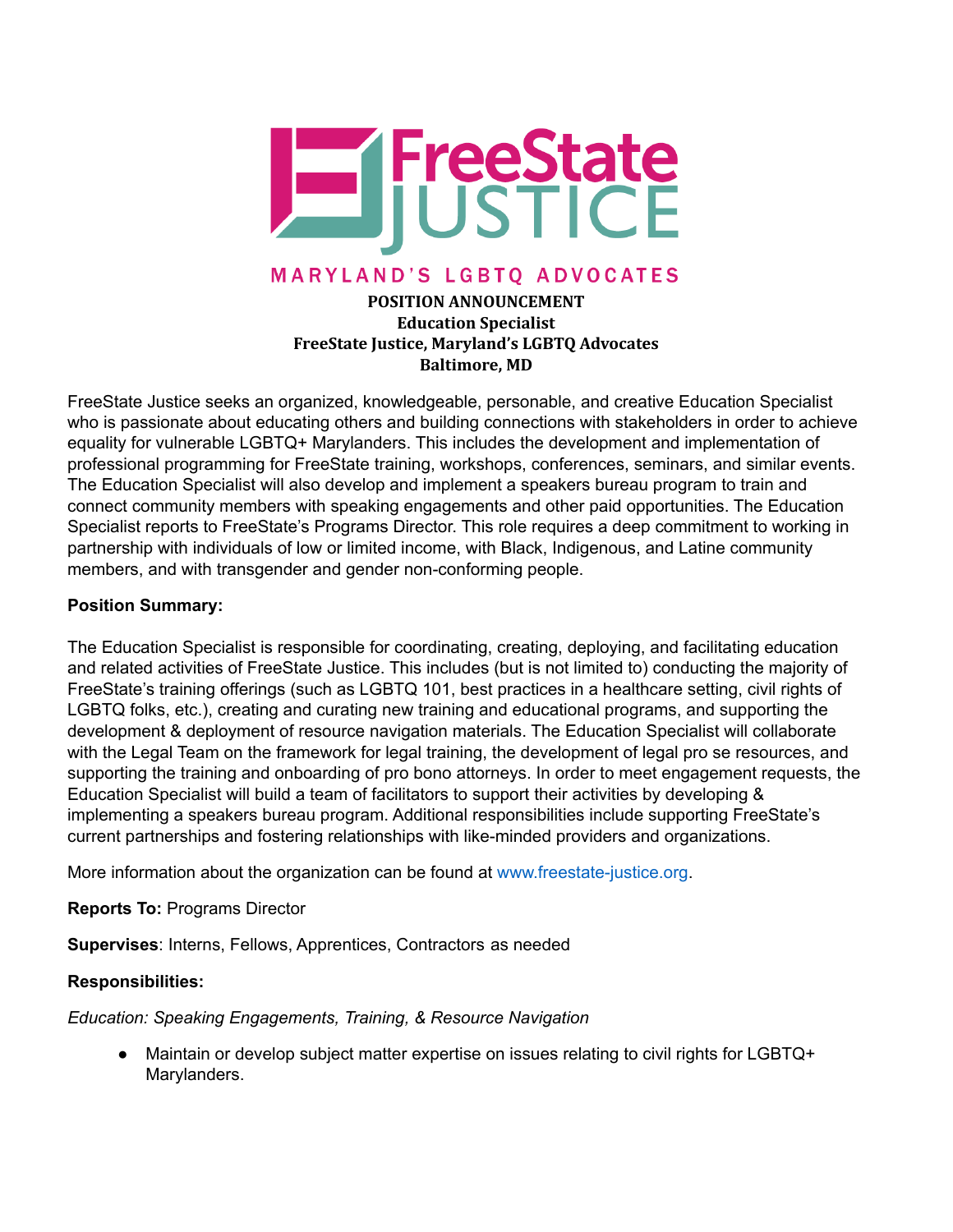

# **MARYLAND'S LGBTO ADVOCATES**

## **POSITION ANNOUNCEMENT Education Specialist FreeState Justice, Maryland's LGBTQ Advocates Baltimore, MD**

FreeState Justice seeks an organized, knowledgeable, personable, and creative Education Specialist who is passionate about educating others and building connections with stakeholders in order to achieve equality for vulnerable LGBTQ+ Marylanders. This includes the development and implementation of professional programming for FreeState training, workshops, conferences, seminars, and similar events. The Education Specialist will also develop and implement a speakers bureau program to train and connect community members with speaking engagements and other paid opportunities. The Education Specialist reports to FreeState's Programs Director. This role requires a deep commitment to working in partnership with individuals of low or limited income, with Black, Indigenous, and Latine community members, and with transgender and gender non-conforming people.

## **Position Summary:**

The Education Specialist is responsible for coordinating, creating, deploying, and facilitating education and related activities of FreeState Justice. This includes (but is not limited to) conducting the majority of FreeState's training offerings (such as LGBTQ 101, best practices in a healthcare setting, civil rights of LGBTQ folks, etc.), creating and curating new training and educational programs, and supporting the development & deployment of resource navigation materials. The Education Specialist will collaborate with the Legal Team on the framework for legal training, the development of legal pro se resources, and supporting the training and onboarding of pro bono attorneys. In order to meet engagement requests, the Education Specialist will build a team of facilitators to support their activities by developing & implementing a speakers bureau program. Additional responsibilities include supporting FreeState's current partnerships and fostering relationships with like-minded providers and organizations.

More information about the organization can be found at www.freestate-justice.org.

**Reports To:** Programs Director

**Supervises**: Interns, Fellows, Apprentices, Contractors as needed

## **Responsibilities:**

*Education: Speaking Engagements, Training, & Resource Navigation*

• Maintain or develop subject matter expertise on issues relating to civil rights for LGBTQ+ Marylanders.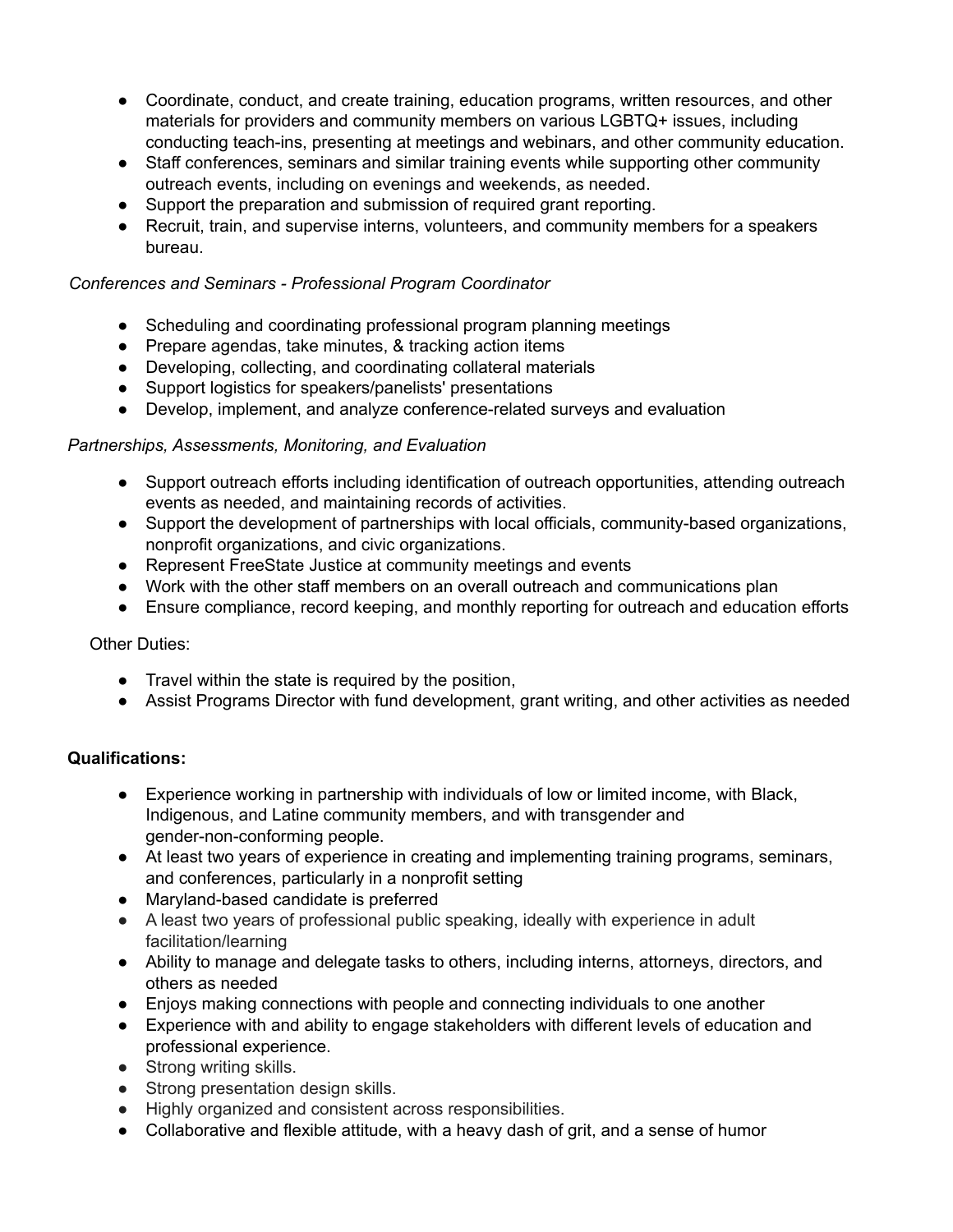- Coordinate, conduct, and create training, education programs, written resources, and other materials for providers and community members on various LGBTQ+ issues, including conducting teach-ins, presenting at meetings and webinars, and other community education.
- Staff conferences, seminars and similar training events while supporting other community outreach events, including on evenings and weekends, as needed.
- Support the preparation and submission of required grant reporting.
- Recruit, train, and supervise interns, volunteers, and community members for a speakers bureau.

## *Conferences and Seminars - Professional Program Coordinator*

- Scheduling and coordinating professional program planning meetings
- Prepare agendas, take minutes, & tracking action items
- Developing, collecting, and coordinating collateral materials
- Support logistics for speakers/panelists' presentations
- Develop, implement, and analyze conference-related surveys and evaluation

# *Partnerships, Assessments, Monitoring, and Evaluation*

- Support outreach efforts including identification of outreach opportunities, attending outreach events as needed, and maintaining records of activities.
- Support the development of partnerships with local officials, community-based organizations, nonprofit organizations, and civic organizations.
- Represent FreeState Justice at community meetings and events
- Work with the other staff members on an overall outreach and communications plan
- Ensure compliance, record keeping, and monthly reporting for outreach and education efforts

# Other Duties:

- Travel within the state is required by the position,
- Assist Programs Director with fund development, grant writing, and other activities as needed

# **Qualifications:**

- Experience working in partnership with individuals of low or limited income, with Black, Indigenous, and Latine community members, and with transgender and gender-non-conforming people.
- At least two years of experience in creating and implementing training programs, seminars, and conferences, particularly in a nonprofit setting
- Maryland-based candidate is preferred
- A least two years of professional public speaking, ideally with experience in adult facilitation/learning
- Ability to manage and delegate tasks to others, including interns, attorneys, directors, and others as needed
- Enjoys making connections with people and connecting individuals to one another
- Experience with and ability to engage stakeholders with different levels of education and professional experience.
- Strong writing skills.
- Strong presentation design skills.
- Highly organized and consistent across responsibilities.
- Collaborative and flexible attitude, with a heavy dash of grit, and a sense of humor